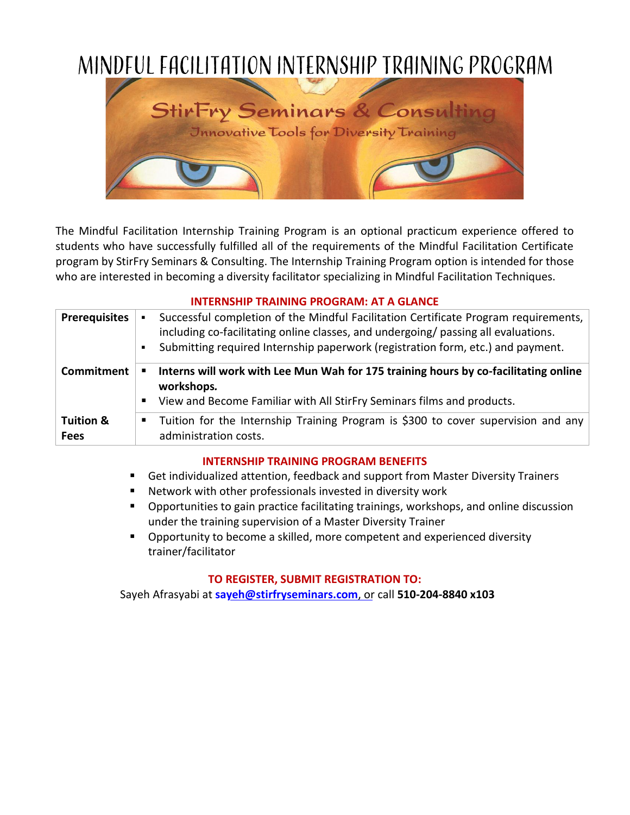

The Mindful Facilitation Internship Training Program is an optional practicum experience offered to students who have successfully fulfilled all of the requirements of the Mindful Facilitation Certificate program by StirFry Seminars & Consulting. The Internship Training Program option is intended for those who are interested in becoming a diversity facilitator specializing in Mindful Facilitation Techniques.

## **INTERNSHIP TRAINING PROGRAM: AT A GLANCE**

| <b>Prerequisites</b>                | Successful completion of the Mindful Facilitation Certificate Program requirements,<br>٠<br>including co-facilitating online classes, and undergoing/ passing all evaluations.<br>Submitting required Internship paperwork (registration form, etc.) and payment.<br>$\blacksquare$ |
|-------------------------------------|-------------------------------------------------------------------------------------------------------------------------------------------------------------------------------------------------------------------------------------------------------------------------------------|
| Commitment                          | Interns will work with Lee Mun Wah for 175 training hours by co-facilitating online<br>٠<br>workshops.<br>View and Become Familiar with All StirFry Seminars films and products.<br>п                                                                                               |
| <b>Tuition &amp;</b><br><b>Fees</b> | Tuition for the Internship Training Program is \$300 to cover supervision and any<br>п<br>administration costs.                                                                                                                                                                     |

## **INTERNSHIP TRAINING PROGRAM BENEFITS**

- Get individualized attention, feedback and support from Master Diversity Trainers
- Network with other professionals invested in diversity work
- Opportunities to gain practice facilitating trainings, workshops, and online discussion under the training supervision of a Master Diversity Trainer
- Opportunity to become a skilled, more competent and experienced diversity trainer/facilitator

## **TO REGISTER, SUBMIT REGISTRATION TO:**

Sayeh Afrasyabi at **sa[yeh@stirfryseminars.com](mailto:sayeh@stirfryseminars.com)**, or call **510-204-8840 x103**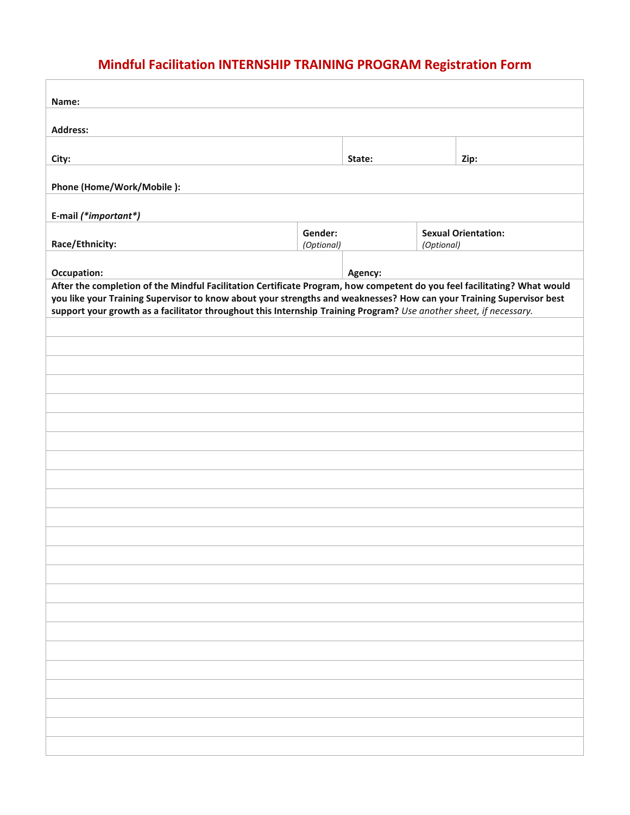# **Mindful Facilitation INTERNSHIP TRAINING PROGRAM Registration Form**

| Name:                                                                                                                                                                                                                                            |  |         |            |                            |
|--------------------------------------------------------------------------------------------------------------------------------------------------------------------------------------------------------------------------------------------------|--|---------|------------|----------------------------|
|                                                                                                                                                                                                                                                  |  |         |            |                            |
| <b>Address:</b>                                                                                                                                                                                                                                  |  |         |            |                            |
| City:                                                                                                                                                                                                                                            |  | State:  |            | Zip:                       |
| Phone (Home/Work/Mobile):                                                                                                                                                                                                                        |  |         |            |                            |
| E-mail (*important*)                                                                                                                                                                                                                             |  |         |            |                            |
| Gender:<br>Race/Ethnicity:<br>(Optional)                                                                                                                                                                                                         |  |         | (Optional) | <b>Sexual Orientation:</b> |
| Occupation:                                                                                                                                                                                                                                      |  | Agency: |            |                            |
| After the completion of the Mindful Facilitation Certificate Program, how competent do you feel facilitating? What would<br>you like your Training Supervisor to know about your strengths and weaknesses? How can your Training Supervisor best |  |         |            |                            |
| support your growth as a facilitator throughout this Internship Training Program? Use another sheet, if necessary.                                                                                                                               |  |         |            |                            |
|                                                                                                                                                                                                                                                  |  |         |            |                            |
|                                                                                                                                                                                                                                                  |  |         |            |                            |
|                                                                                                                                                                                                                                                  |  |         |            |                            |
|                                                                                                                                                                                                                                                  |  |         |            |                            |
|                                                                                                                                                                                                                                                  |  |         |            |                            |
|                                                                                                                                                                                                                                                  |  |         |            |                            |
|                                                                                                                                                                                                                                                  |  |         |            |                            |
|                                                                                                                                                                                                                                                  |  |         |            |                            |
|                                                                                                                                                                                                                                                  |  |         |            |                            |
|                                                                                                                                                                                                                                                  |  |         |            |                            |
|                                                                                                                                                                                                                                                  |  |         |            |                            |
|                                                                                                                                                                                                                                                  |  |         |            |                            |
|                                                                                                                                                                                                                                                  |  |         |            |                            |
|                                                                                                                                                                                                                                                  |  |         |            |                            |
|                                                                                                                                                                                                                                                  |  |         |            |                            |
|                                                                                                                                                                                                                                                  |  |         |            |                            |
|                                                                                                                                                                                                                                                  |  |         |            |                            |
|                                                                                                                                                                                                                                                  |  |         |            |                            |